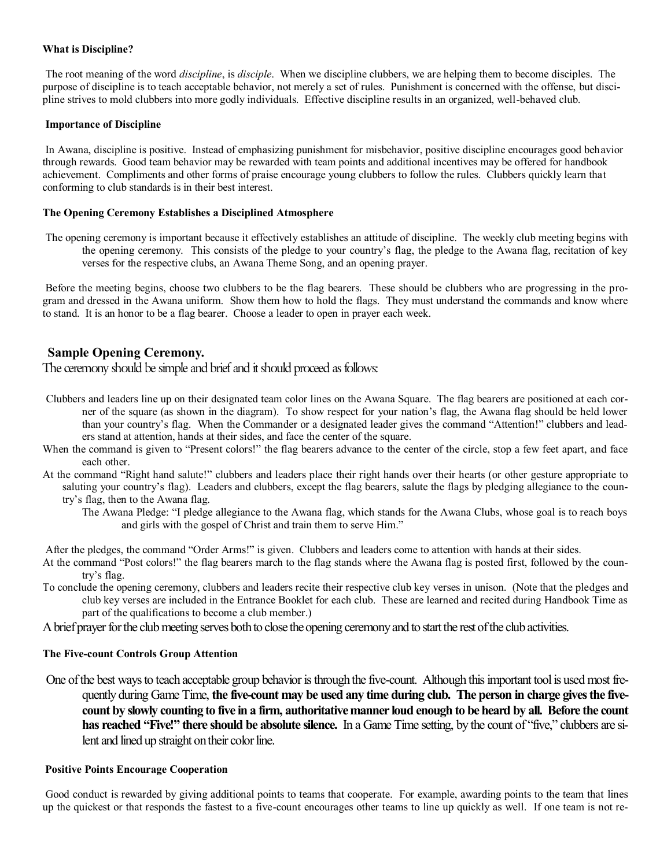### **What is Discipline?**

The root meaning of the word *discipline*, is *disciple*. When we discipline clubbers, we are helping them to become disciples. The purpose of discipline is to teach acceptable behavior, not merely a set of rules. Punishment is concerned with the offense, but discipline strives to mold clubbers into more godly individuals. Effective discipline results in an organized, well-behaved club.

#### **Importance of Discipline**

In Awana, discipline is positive. Instead of emphasizing punishment for misbehavior, positive discipline encourages good behavior through rewards. Good team behavior may be rewarded with team points and additional incentives may be offered for handbook achievement. Compliments and other forms of praise encourage young clubbers to follow the rules. Clubbers quickly learn that conforming to club standards is in their best interest.

## **The Opening Ceremony Establishes a Disciplined Atmosphere**

The opening ceremony is important because it effectively establishes an attitude of discipline. The weekly club meeting begins with the opening ceremony. This consists of the pledge to your country's flag, the pledge to the Awana flag, recitation of key verses for the respective clubs, an Awana Theme Song, and an opening prayer.

Before the meeting begins, choose two clubbers to be the flag bearers. These should be clubbers who are progressing in the program and dressed in the Awana uniform. Show them how to hold the flags. They must understand the commands and know where to stand. It is an honor to be a flag bearer. Choose a leader to open in prayer each week.

## **Sample Opening Ceremony.**

The ceremony should be simple and brief and it should proceed as follows:

- Clubbers and leaders line up on their designated team color lines on the Awana Square. The flag bearers are positioned at each corner of the square (as shown in the diagram). To show respect for your nation's flag, the Awana flag should be held lower than your country's flag. When the Commander or a designated leader gives the command "Attention!" clubbers and leaders stand at attention, hands at their sides, and face the center of the square.
- When the command is given to "Present colors!" the flag bearers advance to the center of the circle, stop a few feet apart, and face each other.
- At the command "Right hand salute!" clubbers and leaders place their right hands over their hearts (or other gesture appropriate to saluting your country's flag). Leaders and clubbers, except the flag bearers, salute the flags by pledging allegiance to the country's flag, then to the Awana flag.
	- The Awana Pledge: "I pledge allegiance to the Awana flag, which stands for the Awana Clubs, whose goal is to reach boys and girls with the gospel of Christ and train them to serve Him."

After the pledges, the command "Order Arms!" is given. Clubbers and leaders come to attention with hands at their sides.

- At the command "Post colors!" the flag bearers march to the flag stands where the Awana flag is posted first, followed by the country's flag.
- To conclude the opening ceremony, clubbers and leaders recite their respective club key verses in unison. (Note that the pledges and club key verses are included in the Entrance Booklet for each club. These are learned and recited during Handbook Time as part of the qualifications to become a club member.)
- A brief prayer for the club meeting serves both to close the opening ceremony and to start the rest of the club activities.

#### **The Five-count Controls Group Attention**

One of the best ways to teach acceptable group behavior is through the five-count. Although this important tool is used most frequently during Game Time, **the five-count may be used any time during club. The person in charge gives the fivecount by slowly counting to five in a firm, authoritative manner loud enough to be heard by all. Before the count has reached "Five!" there should be absolute silence.** In a Game Time setting, by the count of "five," clubbers are silent and lined up straight on their color line.

#### **Positive Points Encourage Cooperation**

Good conduct is rewarded by giving additional points to teams that cooperate. For example, awarding points to the team that lines up the quickest or that responds the fastest to a five-count encourages other teams to line up quickly as well. If one team is not re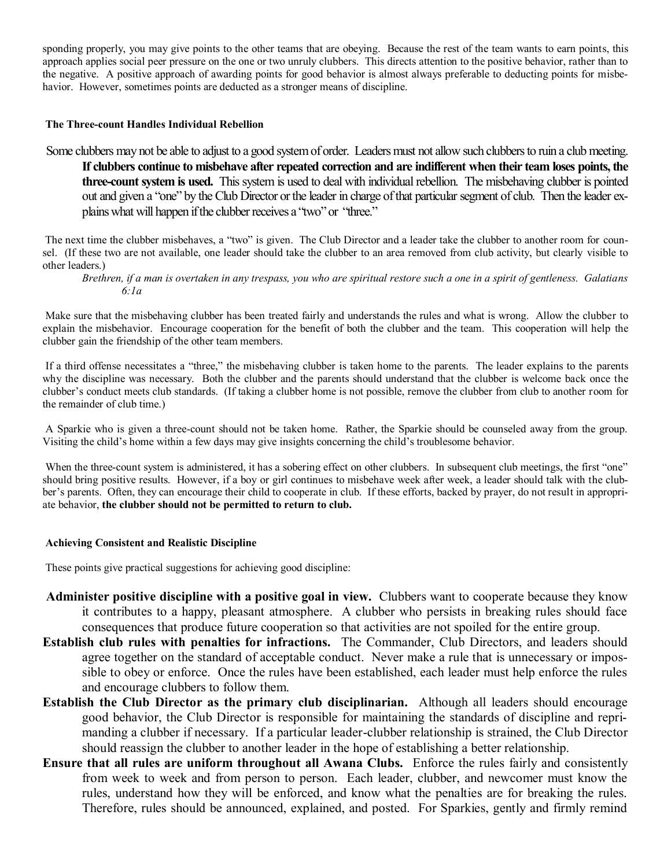sponding properly, you may give points to the other teams that are obeying. Because the rest of the team wants to earn points, this approach applies social peer pressure on the one or two unruly clubbers. This directs attention to the positive behavior, rather than to the negative. A positive approach of awarding points for good behavior is almost always preferable to deducting points for misbehavior. However, sometimes points are deducted as a stronger means of discipline.

#### **The Three-count Handles Individual Rebellion**

Some clubbers may not be able to adjust to a good system of order. Leaders must not allow such clubbers to ruin a club meeting. **If clubbers continue to misbehave after repeated correction and are indifferent when their team loses points, the three-count system is used.** This system is used to deal with individual rebellion. The misbehaving clubber is pointed out and given a "one" by the Club Director or the leader in charge of that particular segment of club. Then the leader explains what will happen if the clubber receives a "two" or "three."

The next time the clubber misbehaves, a "two" is given. The Club Director and a leader take the clubber to another room for counsel. (If these two are not available, one leader should take the clubber to an area removed from club activity, but clearly visible to other leaders.)

*Brethren, if a man is overtaken in any trespass, you who are spiritual restore such a one in a spirit of gentleness. Galatians 6:1a*

Make sure that the misbehaving clubber has been treated fairly and understands the rules and what is wrong. Allow the clubber to explain the misbehavior. Encourage cooperation for the benefit of both the clubber and the team. This cooperation will help the clubber gain the friendship of the other team members.

If a third offense necessitates a "three," the misbehaving clubber is taken home to the parents. The leader explains to the parents why the discipline was necessary. Both the clubber and the parents should understand that the clubber is welcome back once the clubber's conduct meets club standards. (If taking a clubber home is not possible, remove the clubber from club to another room for the remainder of club time.)

A Sparkie who is given a three-count should not be taken home. Rather, the Sparkie should be counseled away from the group. Visiting the child's home within a few days may give insights concerning the child's troublesome behavior.

When the three-count system is administered, it has a sobering effect on other clubbers. In subsequent club meetings, the first "one" should bring positive results. However, if a boy or girl continues to misbehave week after week, a leader should talk with the clubber's parents. Often, they can encourage their child to cooperate in club. If these efforts, backed by prayer, do not result in appropriate behavior, **the clubber should not be permitted to return to club.**

#### **Achieving Consistent and Realistic Discipline**

These points give practical suggestions for achieving good discipline:

- **Administer positive discipline with a positive goal in view.** Clubbers want to cooperate because they know it contributes to a happy, pleasant atmosphere. A clubber who persists in breaking rules should face consequences that produce future cooperation so that activities are not spoiled for the entire group.
- **Establish club rules with penalties for infractions.** The Commander, Club Directors, and leaders should agree together on the standard of acceptable conduct. Never make a rule that is unnecessary or impossible to obey or enforce. Once the rules have been established, each leader must help enforce the rules and encourage clubbers to follow them.
- **Establish the Club Director as the primary club disciplinarian.** Although all leaders should encourage good behavior, the Club Director is responsible for maintaining the standards of discipline and reprimanding a clubber if necessary. If a particular leader-clubber relationship is strained, the Club Director should reassign the clubber to another leader in the hope of establishing a better relationship.
- **Ensure that all rules are uniform throughout all Awana Clubs.** Enforce the rules fairly and consistently from week to week and from person to person. Each leader, clubber, and newcomer must know the rules, understand how they will be enforced, and know what the penalties are for breaking the rules. Therefore, rules should be announced, explained, and posted. For Sparkies, gently and firmly remind